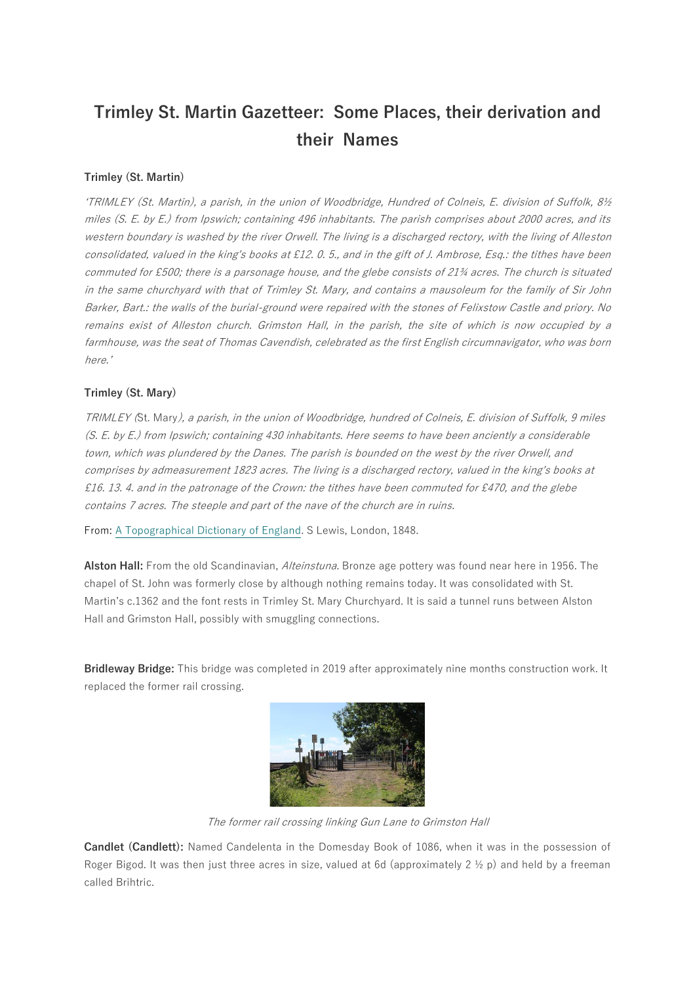# **Trimley St. Martin Gazetteer: Some Places, their derivation and their Names**

# **Trimley (St. Martin)**

'TRIMLEY (St. Martin), a parish, in the union of Woodbridge, Hundred of Colneis, E. division of Suffolk, 8½ miles (S. E. by E.) from Ipswich; containing 496 inhabitants. The parish comprises about 2000 acres, and its western boundary is washed by the river Orwell. The living is a discharged rectory, with the living of Alleston consolidated, valued in the king's books at £12. 0. 5., and in the gift of J. Ambrose, Esq.: the tithes have been commuted for £500; there is a parsonage house, and the glebe consists of 21¾ acres. The church is situated in the same churchyard with that of Trimley St. Mary, and contains a mausoleum for the family of Sir John Barker, Bart.: the walls of the burial-ground were repaired with the stones of Felixstow Castle and priory. No remains exist of Alleston church. Grimston Hall, in the parish, the site of which is now occupied by a farmhouse, was the seat of Thomas Cavendish, celebrated as the first English circumnavigator, who was born here.'

## **Trimley (St. Mary)**

TRIMLEY (St. Mary), a parish, in the union of Woodbridge, hundred of Colneis, E. division of Suffolk, 9 miles (S. E. by E.) from Ipswich; containing 430 inhabitants. Here seems to have been anciently a considerable town, which was plundered by the Danes. The parish is bounded on the west by the river Orwell, and comprises by admeasurement 1823 acres. The living is a discharged rectory, valued in the king's books at £16. 13. 4. and in the patronage of the Crown: the tithes have been commuted for £470, and the glebe contains 7 acres. The steeple and part of the nave of the church are in ruins.

From[: A Topographical Dictionary of England.](https://www.british-history.ac.uk/topographical-dict/england) S Lewis, London, 1848.

**Alston Hall:** From the old Scandinavian, Alteinstuna. Bronze age pottery was found near here in 1956. The chapel of St. John was formerly close by although nothing remains today. It was consolidated with St. Martin's c.1362 and the font rests in Trimley St. Mary Churchyard. It is said a tunnel runs between Alston Hall and Grimston Hall, possibly with smuggling connections.

**Bridleway Bridge:** This bridge was completed in 2019 after approximately nine months construction work. It replaced the former rail crossing.



The former rail crossing linking Gun Lane to Grimston Hall

**Candlet (Candlett):** Named Candelenta in the Domesday Book of 1086, when it was in the possession of Roger Bigod. It was then just three acres in size, valued at 6d (approximately 2  $\frac{1}{2}$  p) and held by a freeman called Brihtric.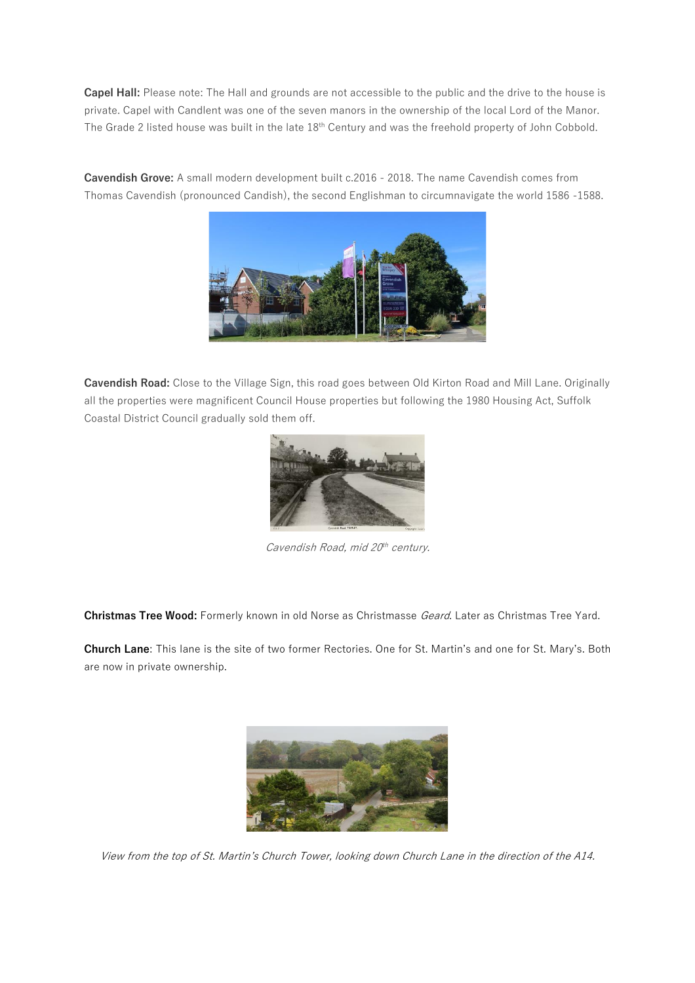**Capel Hall:** Please note: The Hall and grounds are not accessible to the public and the drive to the house is private. Capel with Candlent was one of the seven manors in the ownership of the local Lord of the Manor. The Grade 2 listed house was built in the late 18<sup>th</sup> Century and was the freehold property of John Cobbold.

**Cavendish Grove:** A small modern development built c.2016 - 2018. The name Cavendish comes from Thomas Cavendish (pronounced Candish), the second Englishman to circumnavigate the world 1586 -1588.



**Cavendish Road:** Close to the Village Sign, this road goes between Old Kirton Road and Mill Lane. Originally all the properties were magnificent Council House properties but following the 1980 Housing Act, Suffolk Coastal District Council gradually sold them off.



Cavendish Road, mid 20<sup>th</sup> century.

**Christmas Tree Wood:** Formerly known in old Norse as Christmasse Geard. Later as Christmas Tree Yard.

**Church Lane**: This lane is the site of two former Rectories. One for St. Martin's and one for St. Mary's. Both are now in private ownership.



View from the top of St. Martin's Church Tower, looking down Church Lane in the direction of the A14.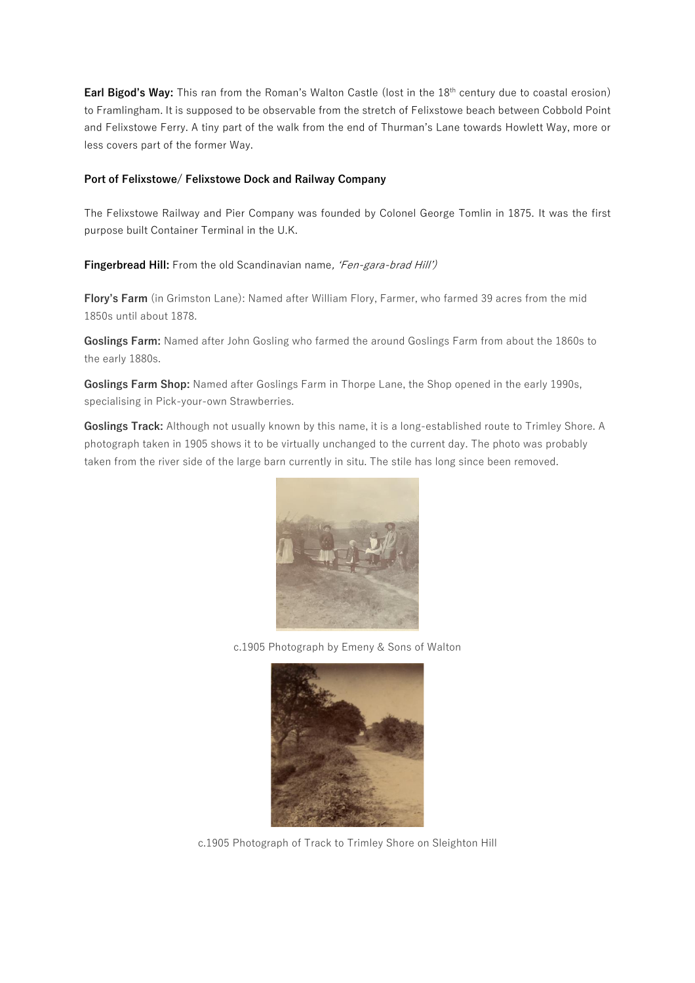**Earl Bigod's Way:** This ran from the Roman's Walton Castle (lost in the 18<sup>th</sup> century due to coastal erosion) to Framlingham. It is supposed to be observable from the stretch of Felixstowe beach between Cobbold Point and Felixstowe Ferry. A tiny part of the walk from the end of Thurman's Lane towards Howlett Way, more or less covers part of the former Way.

## **Port of Felixstowe/ Felixstowe Dock and Railway Company**

The Felixstowe Railway and Pier Company was founded by Colonel George Tomlin in 1875. It was the first purpose built Container Terminal in the U.K.

**Fingerbread Hill:** From the old Scandinavian name, 'Fen-gara-brad Hill')

**Flory's Farm** (in Grimston Lane): Named after William Flory, Farmer, who farmed 39 acres from the mid 1850s until about 1878.

**Goslings Farm:** Named after John Gosling who farmed the around Goslings Farm from about the 1860s to the early 1880s.

**Goslings Farm Shop:** Named after Goslings Farm in Thorpe Lane, the Shop opened in the early 1990s, specialising in Pick-your-own Strawberries.

**Goslings Track:** Although not usually known by this name, it is a long-established route to Trimley Shore. A photograph taken in 1905 shows it to be virtually unchanged to the current day. The photo was probably taken from the river side of the large barn currently in situ. The stile has long since been removed.



c.1905 Photograph by Emeny & Sons of Walton



c.1905 Photograph of Track to Trimley Shore on Sleighton Hill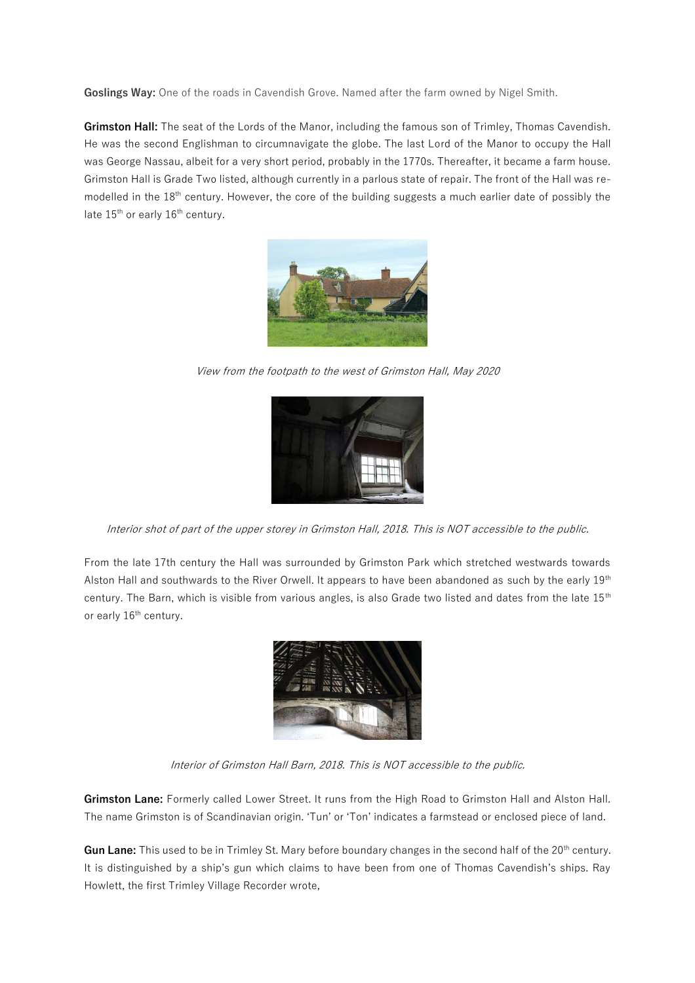**Goslings Way:** One of the roads in Cavendish Grove. Named after the farm owned by Nigel Smith.

**Grimston Hall:** The seat of the Lords of the Manor, including the famous son of Trimley, Thomas Cavendish. He was the second Englishman to circumnavigate the globe. The last Lord of the Manor to occupy the Hall was George Nassau, albeit for a very short period, probably in the 1770s. Thereafter, it became a farm house. Grimston Hall is Grade Two listed, although currently in a parlous state of repair. The front of the Hall was remodelled in the 18<sup>th</sup> century. However, the core of the building suggests a much earlier date of possibly the late  $15<sup>th</sup>$  or early  $16<sup>th</sup>$  century.



View from the footpath to the west of Grimston Hall, May 2020



Interior shot of part of the upper storey in Grimston Hall, 2018. This is NOT accessible to the public.

From the late 17th century the Hall was surrounded by Grimston Park which stretched westwards towards Alston Hall and southwards to the River Orwell. It appears to have been abandoned as such by the early 19<sup>th</sup> century. The Barn, which is visible from various angles, is also Grade two listed and dates from the late 15<sup>th</sup> or early 16<sup>th</sup> century.



Interior of Grimston Hall Barn, 2018. This is NOT accessible to the public.

**Grimston Lane:** Formerly called Lower Street. It runs from the High Road to Grimston Hall and Alston Hall. The name Grimston is of Scandinavian origin. 'Tun' or 'Ton' indicates a farmstead or enclosed piece of land.

Gun Lane: This used to be in Trimley St. Mary before boundary changes in the second half of the 20<sup>th</sup> century. It is distinguished by a ship's gun which claims to have been from one of Thomas Cavendish's ships. Ray Howlett, the first Trimley Village Recorder wrote,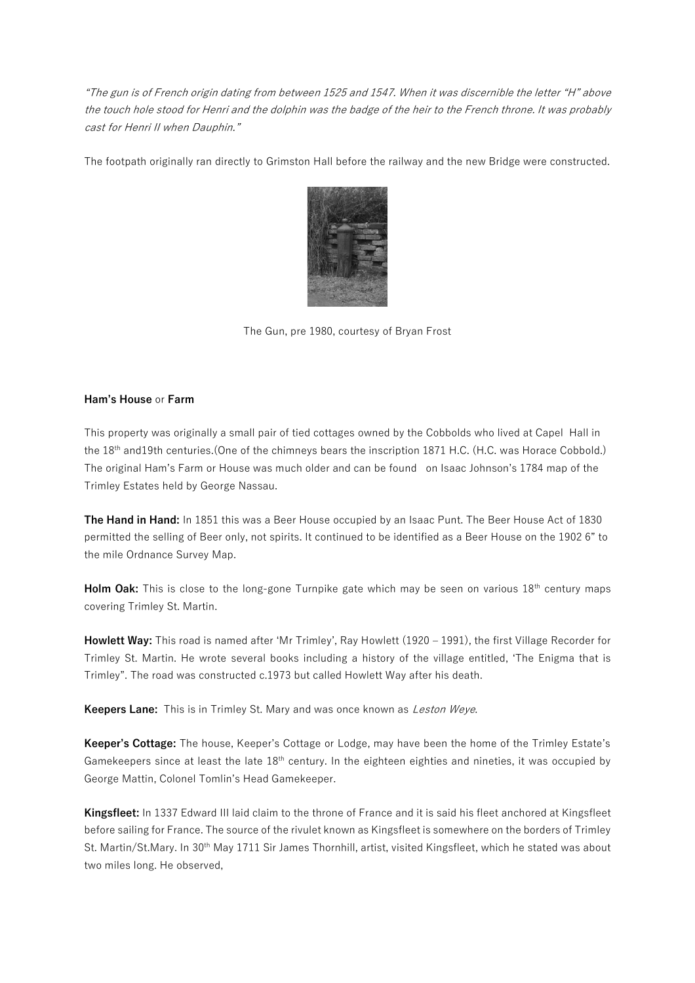"The gun is of French origin dating from between 1525 and 1547. When it was discernible the letter "H" above the touch hole stood for Henri and the dolphin was the badge of the heir to the French throne. It was probably cast for Henri II when Dauphin."

The footpath originally ran directly to Grimston Hall before the railway and the new Bridge were constructed.



The Gun, pre 1980, courtesy of Bryan Frost

### **Ham's House** or **Farm**

This property was originally a small pair of tied cottages owned by the Cobbolds who lived at Capel Hall in the 18th and19th centuries.(One of the chimneys bears the inscription 1871 H.C. (H.C. was Horace Cobbold.) The original Ham's Farm or House was much older and can be found on Isaac Johnson's 1784 map of the Trimley Estates held by George Nassau.

**The Hand in Hand:** In 1851 this was a Beer House occupied by an Isaac Punt. The Beer House Act of 1830 permitted the selling of Beer only, not spirits. It continued to be identified as a Beer House on the 1902 6" to the mile Ordnance Survey Map.

**Holm Oak:** This is close to the long-gone Turnpike gate which may be seen on various 18<sup>th</sup> century maps covering Trimley St. Martin.

**Howlett Way:** This road is named after 'Mr Trimley', Ray Howlett (1920 – 1991), the first Village Recorder for Trimley St. Martin. He wrote several books including a history of the village entitled, 'The Enigma that is Trimley". The road was constructed c.1973 but called Howlett Way after his death.

**Keepers Lane:** This is in Trimley St. Mary and was once known as Leston Weye.

**Keeper's Cottage:** The house, Keeper's Cottage or Lodge, may have been the home of the Trimley Estate's Gamekeepers since at least the late 18<sup>th</sup> century. In the eighteen eighties and nineties, it was occupied by George Mattin, Colonel Tomlin's Head Gamekeeper.

**Kingsfleet:** In 1337 Edward III laid claim to the throne of France and it is said his fleet anchored at Kingsfleet before sailing for France. The source of the rivulet known as Kingsfleet is somewhere on the borders of Trimley St. Martin/St.Mary. In 30<sup>th</sup> May 1711 Sir James Thornhill, artist, visited Kingsfleet, which he stated was about two miles long. He observed,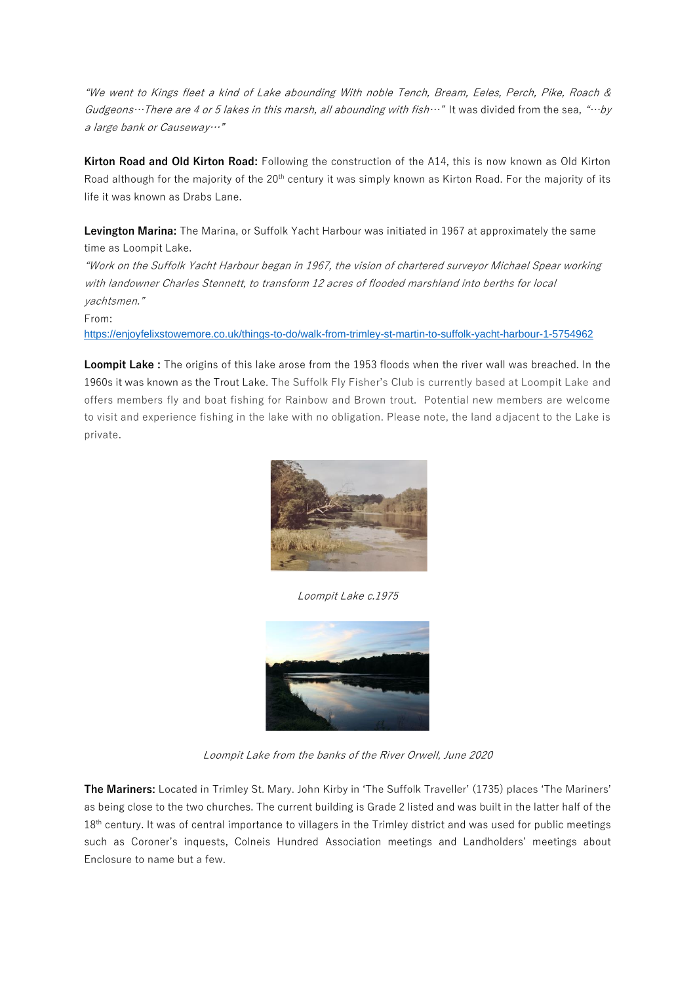"We went to Kings fleet a kind of Lake abounding With noble Tench, Bream, Eeles, Perch, Pike, Roach & Gudgeons…There are 4 or 5 lakes in this marsh, all abounding with fish…" It was divided from the sea, "...by a large bank or Causeway…"

**Kirton Road and Old Kirton Road:** Following the construction of the A14, this is now known as Old Kirton Road although for the majority of the 20<sup>th</sup> century it was simply known as Kirton Road. For the majority of its life it was known as Drabs Lane.

**Levington Marina:** The Marina, or Suffolk Yacht Harbour was initiated in 1967 at approximately the same time as Loompit Lake.

"Work on the Suffolk Yacht Harbour began in 1967, the vision of chartered surveyor Michael Spear working with landowner Charles Stennett, to transform 12 acres of flooded marshland into berths for local yachtsmen."

From:

<https://enjoyfelixstowemore.co.uk/things-to-do/walk-from-trimley-st-martin-to-suffolk-yacht-harbour-1-5754962>

**Loompit Lake :** The origins of this lake arose from the 1953 floods when the river wall was breached. In the 1960s it was known as the Trout Lake. The Suffolk Fly Fisher's Club is currently based at Loompit Lake and offers members fly and boat fishing for Rainbow and Brown trout. Potential new members are welcome to visit and experience fishing in the lake with no obligation. Please note, the land adjacent to the Lake is private.



Loompit Lake c.1975



Loompit Lake from the banks of the River Orwell, June 2020

**The Mariners:** Located in Trimley St. Mary. John Kirby in 'The Suffolk Traveller' (1735) places 'The Mariners' as being close to the two churches. The current building is Grade 2 listed and was built in the latter half of the 18<sup>th</sup> century. It was of central importance to villagers in the Trimley district and was used for public meetings such as Coroner's inquests, Colneis Hundred Association meetings and Landholders' meetings about Enclosure to name but a few.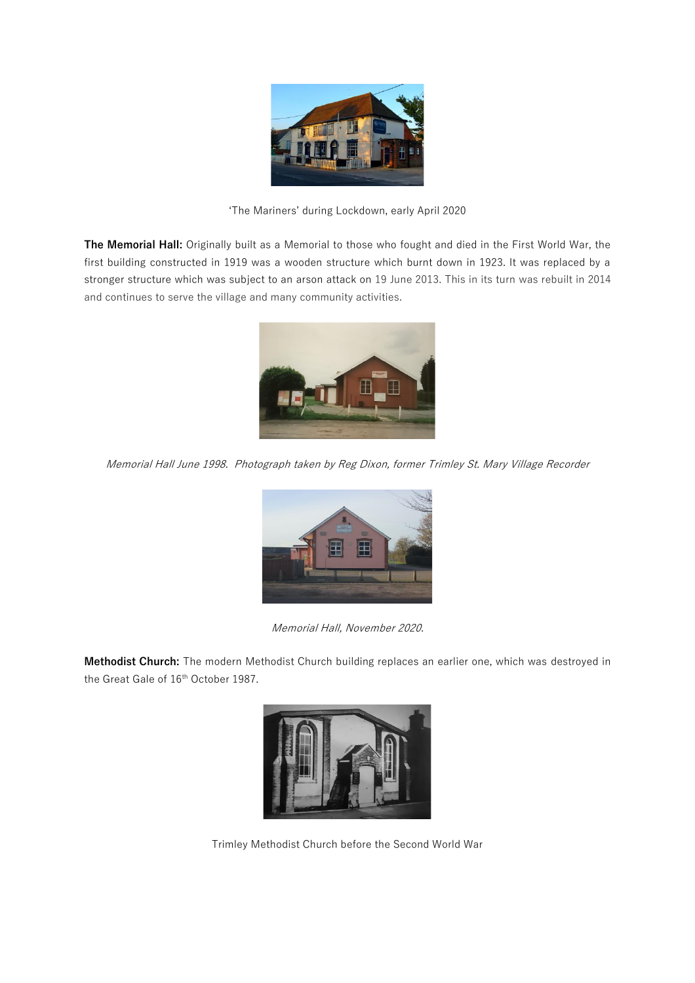

'The Mariners' during Lockdown, early April 2020

**The Memorial Hall:** Originally built as a Memorial to those who fought and died in the First World War, the first building constructed in 1919 was a wooden structure which burnt down in 1923. It was replaced by a stronger structure which was subject to an arson attack on 19 June 2013. This in its turn was rebuilt in 2014 and continues to serve the village and many community activities.



Memorial Hall June 1998. Photograph taken by Reg Dixon, former Trimley St. Mary Village Recorder



Memorial Hall, November 2020.

**Methodist Church:** The modern Methodist Church building replaces an earlier one, which was destroyed in the Great Gale of 16<sup>th</sup> October 1987.



Trimley Methodist Church before the Second World War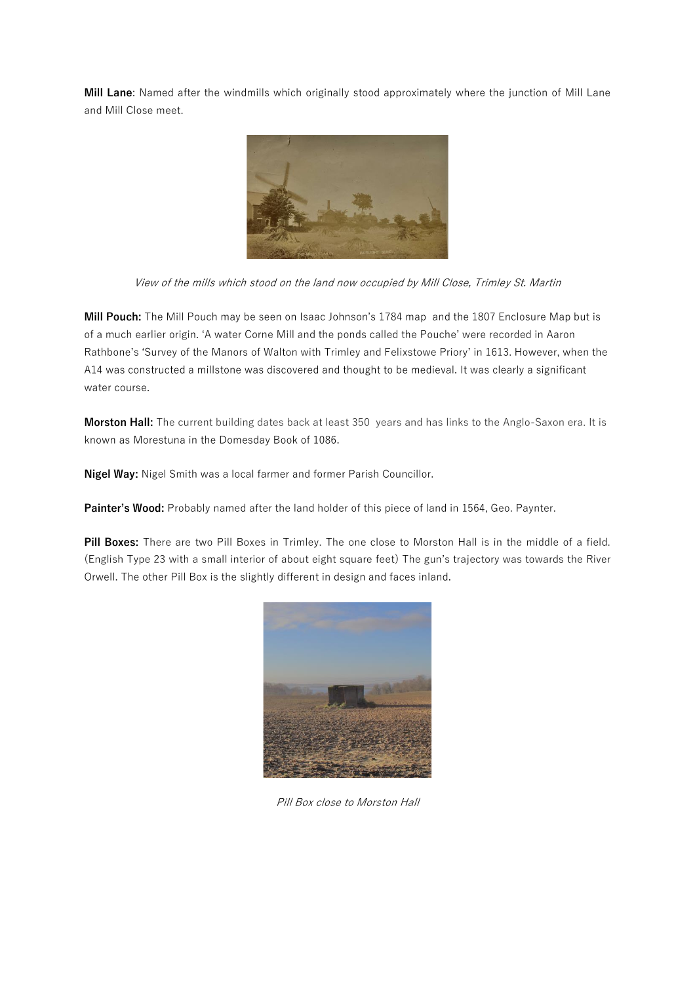**Mill Lane**: Named after the windmills which originally stood approximately where the junction of Mill Lane and Mill Close meet.



View of the mills which stood on the land now occupied by Mill Close, Trimley St. Martin

**Mill Pouch:** The Mill Pouch may be seen on Isaac Johnson's 1784 map and the 1807 Enclosure Map but is of a much earlier origin. 'A water Corne Mill and the ponds called the Pouche' were recorded in Aaron Rathbone's 'Survey of the Manors of Walton with Trimley and Felixstowe Priory' in 1613. However, when the A14 was constructed a millstone was discovered and thought to be medieval. It was clearly a significant water course.

**Morston Hall:** The current building dates back at least 350 years and has links to the Anglo-Saxon era. It is known as Morestuna in the Domesday Book of 1086.

**Nigel Way:** Nigel Smith was a local farmer and former Parish Councillor.

**Painter's Wood:** Probably named after the land holder of this piece of land in 1564, Geo. Paynter.

**Pill Boxes:** There are two Pill Boxes in Trimley. The one close to Morston Hall is in the middle of a field. (English Type 23 with a small interior of about eight square feet) The gun's trajectory was towards the River Orwell. The other Pill Box is the slightly different in design and faces inland.



Pill Box close to Morston Hall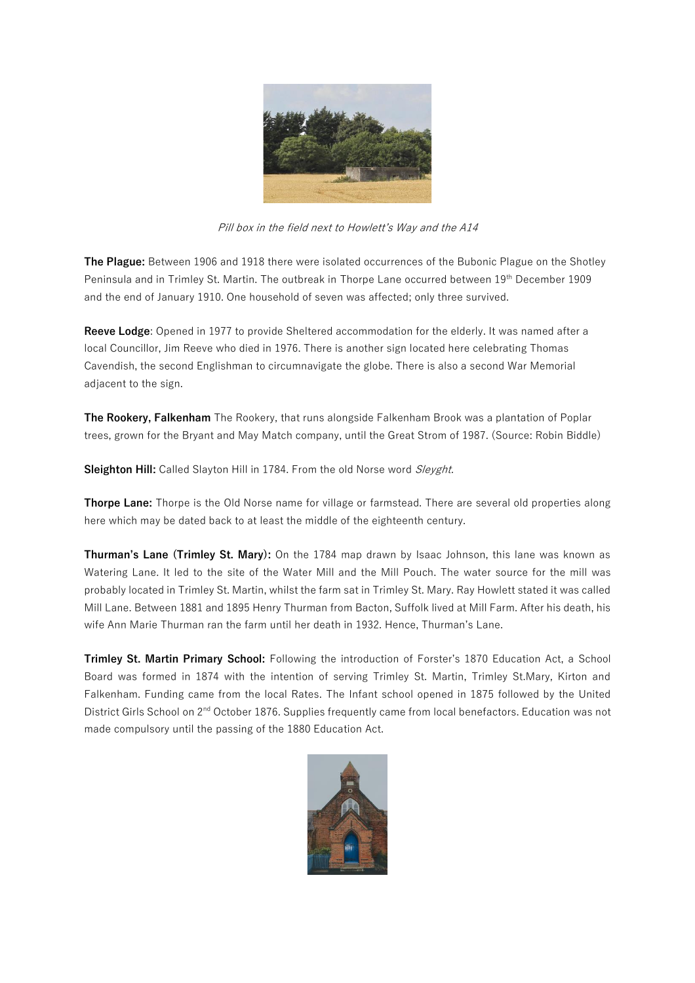

Pill box in the field next to Howlett's Way and the A14

**The Plague:** Between 1906 and 1918 there were isolated occurrences of the Bubonic Plague on the Shotley Peninsula and in Trimley St. Martin. The outbreak in Thorpe Lane occurred between 19<sup>th</sup> December 1909 and the end of January 1910. One household of seven was affected; only three survived.

**Reeve Lodge**: Opened in 1977 to provide Sheltered accommodation for the elderly. It was named after a local Councillor, Jim Reeve who died in 1976. There is another sign located here celebrating Thomas Cavendish, the second Englishman to circumnavigate the globe. There is also a second War Memorial adjacent to the sign.

**The Rookery, Falkenham** The Rookery, that runs alongside Falkenham Brook was a plantation of Poplar trees, grown for the Bryant and May Match company, until the Great Strom of 1987. (Source: Robin Biddle)

Sleighton Hill: Called Slayton Hill in 1784. From the old Norse word Sleyght.

**Thorpe Lane:** Thorpe is the Old Norse name for village or farmstead. There are several old properties along here which may be dated back to at least the middle of the eighteenth century.

**Thurman's Lane (Trimley St. Mary):** On the 1784 map drawn by Isaac Johnson, this lane was known as Watering Lane. It led to the site of the Water Mill and the Mill Pouch. The water source for the mill was probably located in Trimley St. Martin, whilst the farm sat in Trimley St. Mary. Ray Howlett stated it was called Mill Lane. Between 1881 and 1895 Henry Thurman from Bacton, Suffolk lived at Mill Farm. After his death, his wife Ann Marie Thurman ran the farm until her death in 1932. Hence, Thurman's Lane.

**Trimley St. Martin Primary School:** Following the introduction of Forster's 1870 Education Act, a School Board was formed in 1874 with the intention of serving Trimley St. Martin, Trimley St.Mary, Kirton and Falkenham. Funding came from the local Rates. The Infant school opened in 1875 followed by the United District Girls School on 2nd October 1876. Supplies frequently came from local benefactors. Education was not made compulsory until the passing of the 1880 Education Act.

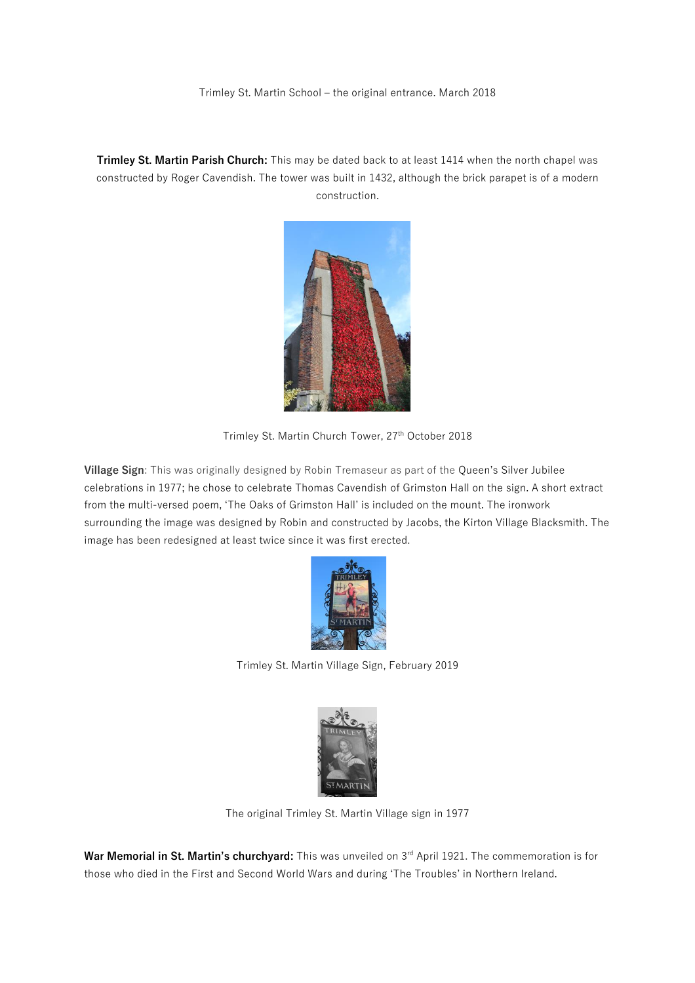#### Trimley St. Martin School – the original entrance. March 2018

**Trimley St. Martin Parish Church:** This may be dated back to at least 1414 when the north chapel was constructed by Roger Cavendish. The tower was built in 1432, although the brick parapet is of a modern construction.



Trimley St. Martin Church Tower, 27<sup>th</sup> October 2018

**Village Sign**: This was originally designed by Robin Tremaseur as part of the Queen's Silver Jubilee celebrations in 1977; he chose to celebrate Thomas Cavendish of Grimston Hall on the sign. A short extract from the multi-versed poem, 'The Oaks of Grimston Hall' is included on the mount. The ironwork surrounding the image was designed by Robin and constructed by Jacobs, the Kirton Village Blacksmith. The image has been redesigned at least twice since it was first erected.



Trimley St. Martin Village Sign, February 2019



The original Trimley St. Martin Village sign in 1977

War Memorial in St. Martin's churchyard: This was unveiled on 3<sup>rd</sup> April 1921. The commemoration is for those who died in the First and Second World Wars and during 'The Troubles' in Northern Ireland.